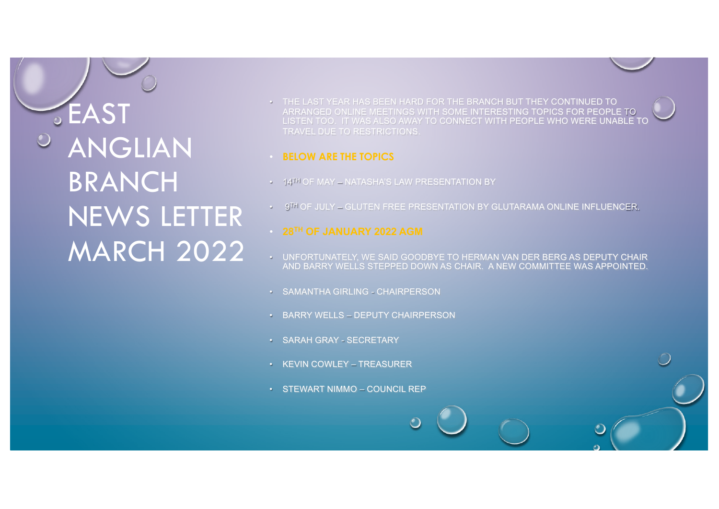*GEAST* ANGLIAN **BRANCH** NEWS LETTER MARCH 2022

• THE LAST YEAR HAS BEEN HARD FOR THE BRANCH BUT THEY CONTINUED TO ARRANGED ONLINE MEETINGS WITH SOME INTERESTING TOPICS FOR PEOPLE TO LISTEN TOO. IT WAS ALSO AWAY TO CONNECT WITH PEOPLE WHO WERE UNABLE TO TRAVEL DUE TO RESTRICTIONS.

#### • **BELOW ARE THE TOPICS**

- 14TH OF MAY NATASHA'S LAW PRESENTATION BY
- 9TH OF JULY GLUTEN FREE PRESENTATION BY GLUTARAMA ONLINE INFLUENCER.

- UNFORTUNATELY, WE SAID GOODBYE TO HERMAN VAN DER BERG AS DEPUTY CHAIR AND BARRY WELLS STEPPED DOWN AS CHAIR. A NEW COMMITTEE WAS APPOINTED.
- SAMANTHA GIRLING CHAIRPERSON
- BARRY WELLS DEPUTY CHAIRPERSON
- SARAH GRAY SECRETARY
- KEVIN COWLEY TREASURER
- STEWART NIMMO COUNCIL REP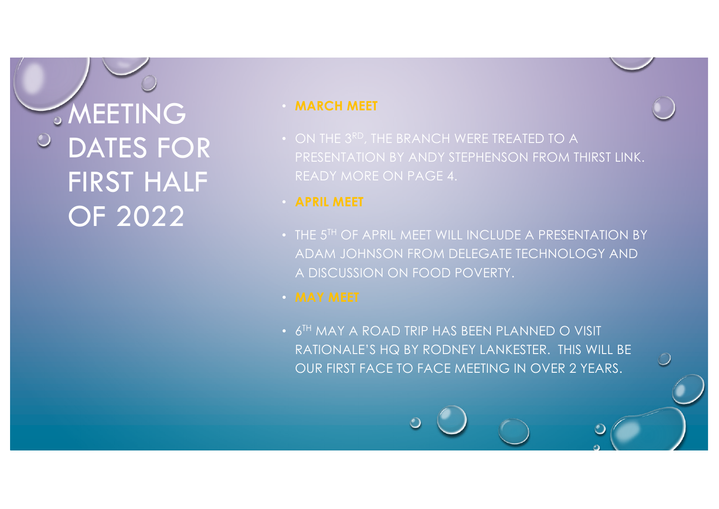**SMEETING** DATES FOR FIRST HALF OF 2022

## • **MARCH MEET**

- ON THE 3RD, THE BRANCH WERE TREATED TO A PRESENTATION BY ANDY STEPHENSON FROM THIRST LINK. READY MORE ON PAGE 4.
- 
- THE 5<sup>TH</sup> OF APRIL MEET WILL INCLUDE A PRESENTATION BY ADAM JOHNSON FROM DELEGATE TECHNOLOGY AND A DISCUSSION ON FOOD POVERTY.
- 
- 6<sup>TH</sup> MAY A ROAD TRIP HAS BEEN PLANNED O VISIT RATIONALE'S HQ BY RODNEY LANKESTER. THIS WILL BE OUR FIRST FACE TO FACE MEETING IN OVER 2 YEARS.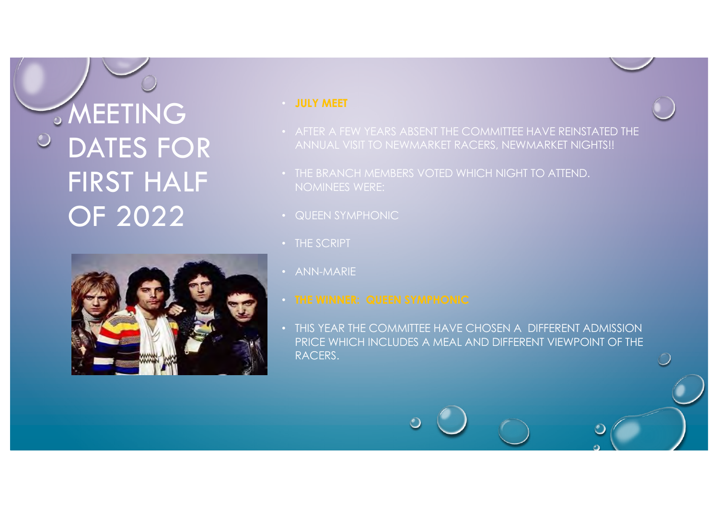**SMEETING**  $\bigcirc$ DATES FOR FIRST HALF OF 2022



### • **JULY MEET**

- AFTER A FEW YEARS ABSENT THE COMMITTEE HAVE REINSTATED THE ANNUAL VISIT TO NEWMARKET RACERS, NEWMARKET NIGHTS!!
- THE BRANCH MEMBERS VOTED WHICH NIGHT TO ATTEND.
- QUEEN SYMPHONIC
- THE SCRIPT
- ANN-MARIE
- 
- THIS YEAR THE COMMITTEE HAVE CHOSEN A DIFFERENT ADMISSION PRICE WHICH INCLUDES A MEAL AND DIFFERENT VIEWPOINT OF THE RACERS.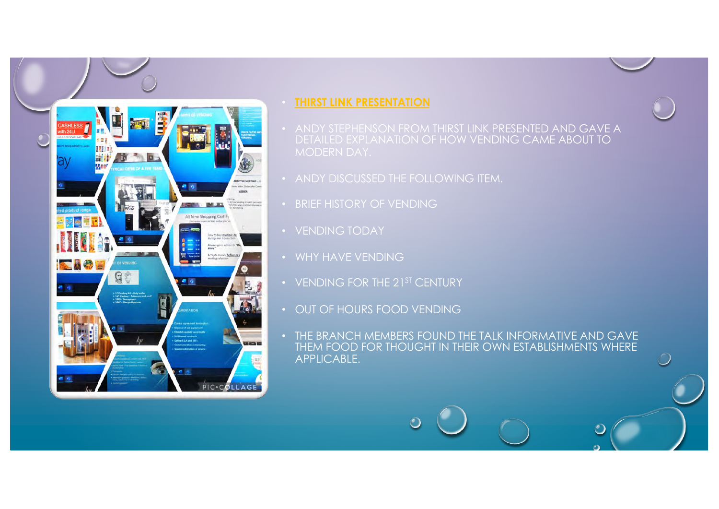## • **THIRST LINK PRESENTATION**

- ANDY STEPHENSON FROM THIRST LINK PRESENTED AND GAVE A DETAILED EXPLANATION OF HOW VENDING CAME ABOUT TO
- ANDY DISCUSSED THE FOLLOWING ITEM.
- BRIEF HISTORY OF VENDING
- VENDING TODAY

**MATTEE MEETING** 

--

PIC-COLLAGI

All New Shopping Cart

 $Q<sub>2</sub>$ 

- WHY HAVE VENDING
- VENDING FOR THE 21ST CENTURY
- OUT OF HOURS FOOD VENDING
- THE BRANCH MEMBERS FOUND THE TALK INFORMATIVE AND GAVE THEM FOOD FOR THOUGHT IN THEIR OWN ESTABLISHMENTS WHERE APPLICABLE.